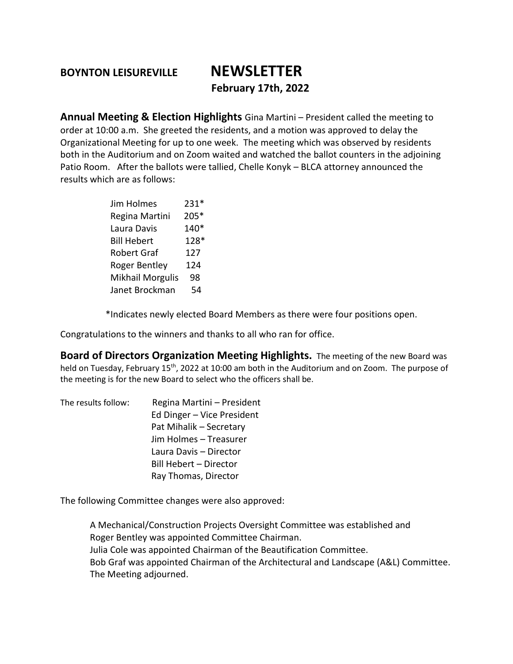## **BOYNTON LEISUREVILLE NEWSLETTER**

## **February 17th, 2022**

**Annual Meeting & Election Highlights** Gina Martini – President called the meeting to order at 10:00 a.m. She greeted the residents, and a motion was approved to delay the Organizational Meeting for up to one week.The meeting which was observed by residents both in the Auditorium and on Zoom waited and watched the ballot counters in the adjoining Patio Room. After the ballots were tallied, Chelle Konyk – BLCA attorney announced the results which are as follows:

| Jim Holmes              | $231*$ |
|-------------------------|--------|
| Regina Martini          | 205*   |
| Laura Davis             | 140*   |
| <b>Bill Hebert</b>      | 128*   |
| <b>Robert Graf</b>      | 127    |
| Roger Bentley           | 124    |
| <b>Mikhail Morgulis</b> | 98     |
| Janet Brockman          | 54     |

\*Indicates newly elected Board Members as there were four positions open.

Congratulations to the winners and thanks to all who ran for office.

**Board of Directors Organization Meeting Highlights.** The meeting of the new Board was held on Tuesday, February 15<sup>th</sup>, 2022 at 10:00 am both in the Auditorium and on Zoom. The purpose of the meeting is for the new Board to select who the officers shall be.

| The results follow: | Regina Martini - President |
|---------------------|----------------------------|
|                     | Ed Dinger - Vice President |
|                     | Pat Mihalik - Secretary    |
|                     | Jim Holmes – Treasurer     |
|                     | Laura Davis – Director     |
|                     | Bill Hebert - Director     |
|                     | Ray Thomas, Director       |

The following Committee changes were also approved:

 A Mechanical/Construction Projects Oversight Committee was established and Roger Bentley was appointed Committee Chairman. Julia Cole was appointed Chairman of the Beautification Committee. Bob Graf was appointed Chairman of the Architectural and Landscape (A&L) Committee. The Meeting adjourned.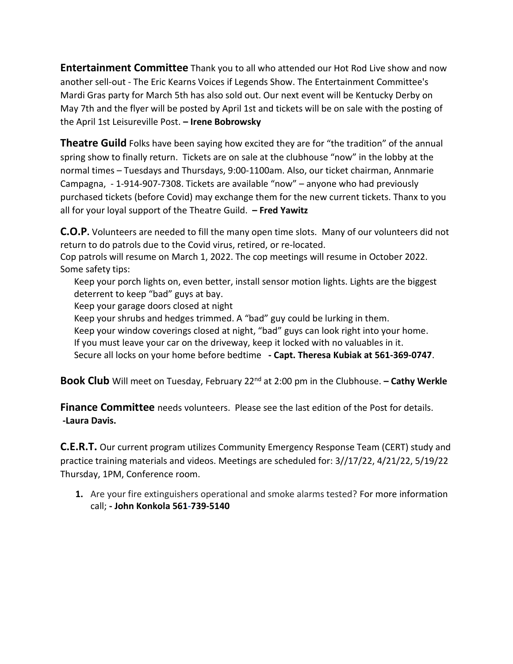**Entertainment Committee** Thank you to all who attended our Hot Rod Live show and now another sell-out - The Eric Kearns Voices if Legends Show. The Entertainment Committee's Mardi Gras party for March 5th has also sold out. Our next event will be Kentucky Derby on May 7th and the flyer will be posted by April 1st and tickets will be on sale with the posting of the April 1st Leisureville Post. **– Irene Bobrowsky**

**Theatre Guild** Folks have been saying how excited they are for "the tradition" of the annual spring show to finally return. Tickets are on sale at the clubhouse "now" in the lobby at the normal times – Tuesdays and Thursdays, 9:00-1100am. Also, our ticket chairman, Annmarie Campagna, - 1-914-907-7308. Tickets are available "now" – anyone who had previously purchased tickets (before Covid) may exchange them for the new current tickets. Thanx to you all for your loyal support of the Theatre Guild. **– Fred Yawitz**

**C.O.P.** Volunteers are needed to fill the many open time slots. Many of our volunteers did not return to do patrols due to the Covid virus, retired, or re-located.

Cop patrols will resume on March 1, 2022. The cop meetings will resume in October 2022. Some safety tips:

 Keep your porch lights on, even better, install sensor motion lights. Lights are the biggest deterrent to keep "bad" guys at bay.

Keep your garage doors closed at night

Keep your shrubs and hedges trimmed. A "bad" guy could be lurking in them.

Keep your window coverings closed at night, "bad" guys can look right into your home.

If you must leave your car on the driveway, keep it locked with no valuables in it.

Secure all locks on your home before bedtime **- Capt. Theresa Kubiak at 561-369-0747**.

**Book Club** Will meet on Tuesday, February 22nd at 2:00 pm in the Clubhouse. **– Cathy Werkle**

**Finance Committee** needs volunteers. Please see the last edition of the Post for details. **-Laura Davis.**

**C.E.R.T.** Our current program utilizes Community Emergency Response Team (CERT) study and practice training materials and videos. Meetings are scheduled for: 3//17/22, 4/21/22, 5/19/22 Thursday, 1PM, Conference room.

**1.** Are your fire extinguishers operational and smoke alarms tested? For more information call; **- John Konkola 561-739-5140**